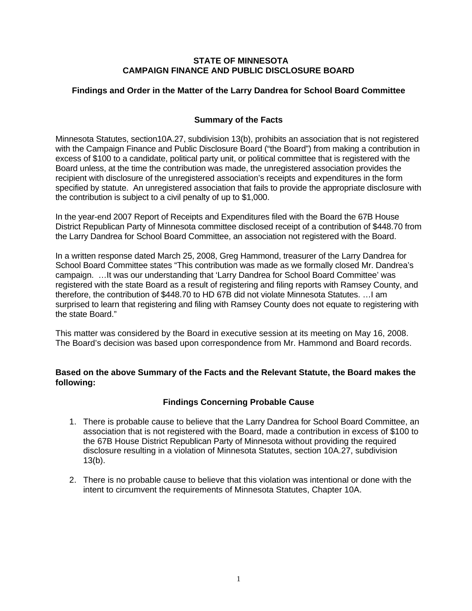### **STATE OF MINNESOTA CAMPAIGN FINANCE AND PUBLIC DISCLOSURE BOARD**

## **Findings and Order in the Matter of the Larry Dandrea for School Board Committee**

# **Summary of the Facts**

Minnesota Statutes, section10A.27, subdivision 13(b), prohibits an association that is not registered with the Campaign Finance and Public Disclosure Board ("the Board") from making a contribution in excess of \$100 to a candidate, political party unit, or political committee that is registered with the Board unless, at the time the contribution was made, the unregistered association provides the recipient with disclosure of the unregistered association's receipts and expenditures in the form specified by statute. An unregistered association that fails to provide the appropriate disclosure with the contribution is subject to a civil penalty of up to \$1,000.

In the year-end 2007 Report of Receipts and Expenditures filed with the Board the 67B House District Republican Party of Minnesota committee disclosed receipt of a contribution of \$448.70 from the Larry Dandrea for School Board Committee, an association not registered with the Board.

In a written response dated March 25, 2008, Greg Hammond, treasurer of the Larry Dandrea for School Board Committee states "This contribution was made as we formally closed Mr. Dandrea's campaign. …It was our understanding that 'Larry Dandrea for School Board Committee' was registered with the state Board as a result of registering and filing reports with Ramsey County, and therefore, the contribution of \$448.70 to HD 67B did not violate Minnesota Statutes. …I am surprised to learn that registering and filing with Ramsey County does not equate to registering with the state Board."

This matter was considered by the Board in executive session at its meeting on May 16, 2008. The Board's decision was based upon correspondence from Mr. Hammond and Board records.

## **Based on the above Summary of the Facts and the Relevant Statute, the Board makes the following:**

## **Findings Concerning Probable Cause**

- 1. There is probable cause to believe that the Larry Dandrea for School Board Committee, an association that is not registered with the Board, made a contribution in excess of \$100 to the 67B House District Republican Party of Minnesota without providing the required disclosure resulting in a violation of Minnesota Statutes, section 10A.27, subdivision 13(b).
- 2. There is no probable cause to believe that this violation was intentional or done with the intent to circumvent the requirements of Minnesota Statutes, Chapter 10A.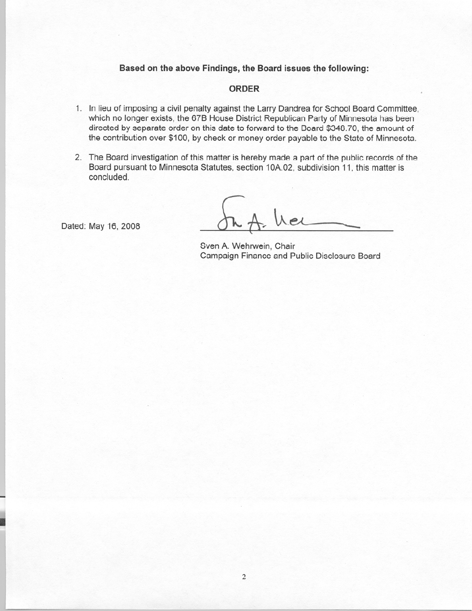#### Based on the above Findings, the Board issues the following:

#### **ORDER**

- 1. In lieu of imposing a civil penalty against the Larry Dandrea for School Board Committee, which no longer exists, the 67B House District Republican Party of Minnesota has been directed by separate order on this date to forward to the Board \$348.70, the amount of the contribution over \$100, by check or money order payable to the State of Minnesota.
- 2. The Board investigation of this matter is hereby made a part of the public records of the Board pursuant to Minnesota Statutes, section 10A.02, subdivision 11, this matter is concluded.

Dated: May 16, 2008

Wer

Sven A. Wehrwein, Chair Campaign Finance and Public Disclosure Board